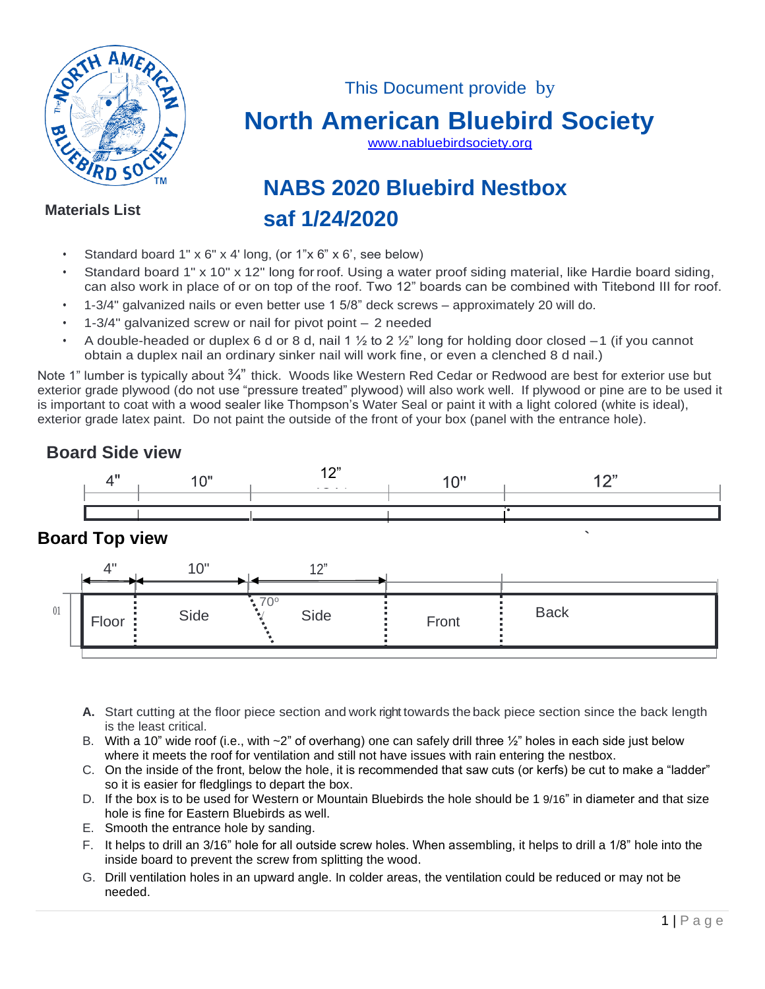

This Document provide by

## **North American Bluebird Society**

[www.nabluebirdsociety.org](http://www.nabluebirdsociety.org/)

# **NABS 2020 Bluebird Nestbox saf 1/24/2020**

#### **Materials List**

- Standard board 1" x 6" x 4' long, (or 1"x 6" x 6', see below)
- Standard board 1" x 10" x 12" long forroof. Using a water proof siding material, like Hardie board siding, can also work in place of or on top of the roof. Two 12" boards can be combined with Titebond III for roof.
- 1-3/4" galvanized nails or even better use 1 5/8" deck screws approximately 20 will do.
- 1-3/4" galvanized screw or nail for pivot point 2 needed
- A double-headed or duplex 6 d or 8 d, nail 1  $\frac{1}{2}$  to 2  $\frac{1}{2}$ " long for holding door closed  $-1$  (if you cannot obtain a duplex nail an ordinary sinker nail will work fine, or even a clenched 8 d nail.)

Note 1" lumber is typically about 3/4" thick. Woods like Western Red Cedar or Redwood are best for exterior use but exterior grade plywood (do not use "pressure treated" plywood) will also work well. If plywood or pine are to be used it is important to coat with a wood sealer like Thompson's Water Seal or paint it with a light colored (white is ideal), exterior grade latex paint. Do not paint the outside of the front of your box (panel with the entrance hole).

## **Board Side view**



**`**

## **Board Top view**



- **A.** Start cutting at the floor piece section and work right towards theback piece section since the back length is the least critical.
- B. With a 10" wide roof (i.e., with  $\sim$ 2" of overhang) one can safely drill three  $\frac{1}{2}$ " holes in each side just below where it meets the roof for ventilation and still not have issues with rain entering the nestbox.
- C. On the inside of the front, below the hole, it is recommended that saw cuts (or kerfs) be cut to make a "ladder" so it is easier for fledglings to depart the box.
- D. If the box is to be used for Western or Mountain Bluebirds the hole should be 1 9/16" in diameter and that size hole is fine for Eastern Bluebirds as well.
- E. Smooth the entrance hole by sanding.
- F. It helps to drill an 3/16" hole for all outside screw holes. When assembling, it helps to drill a 1/8" hole into the inside board to prevent the screw from splitting the wood.
- G. Drill ventilation holes in an upward angle. In colder areas, the ventilation could be reduced or may not be needed.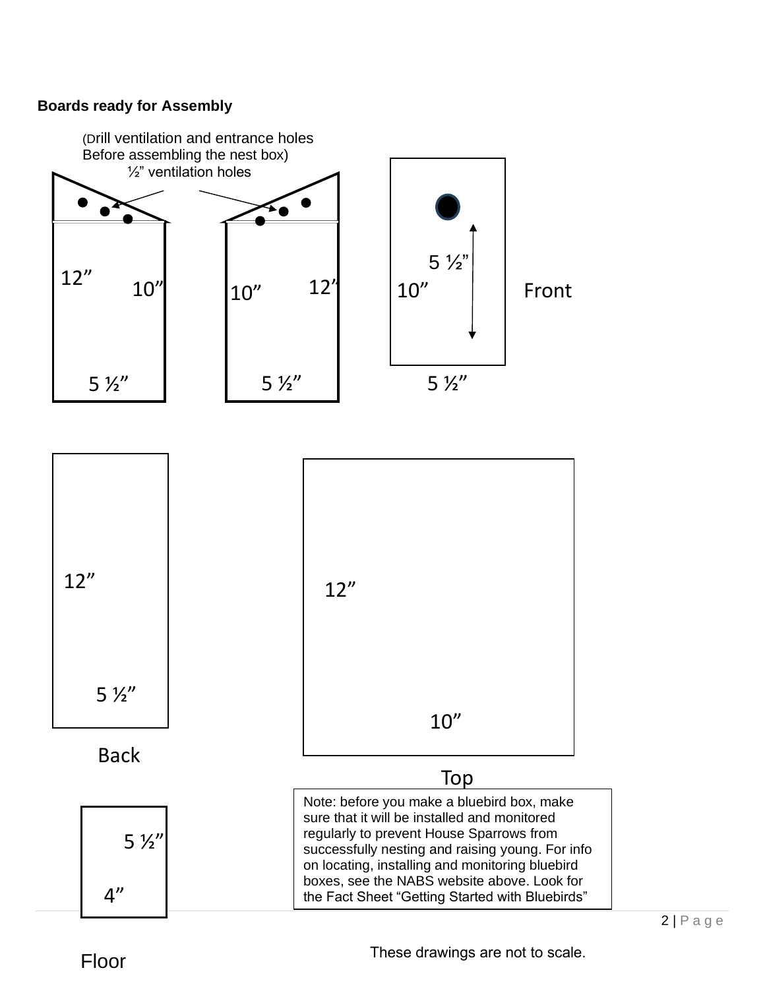#### **Boards ready for Assembly**